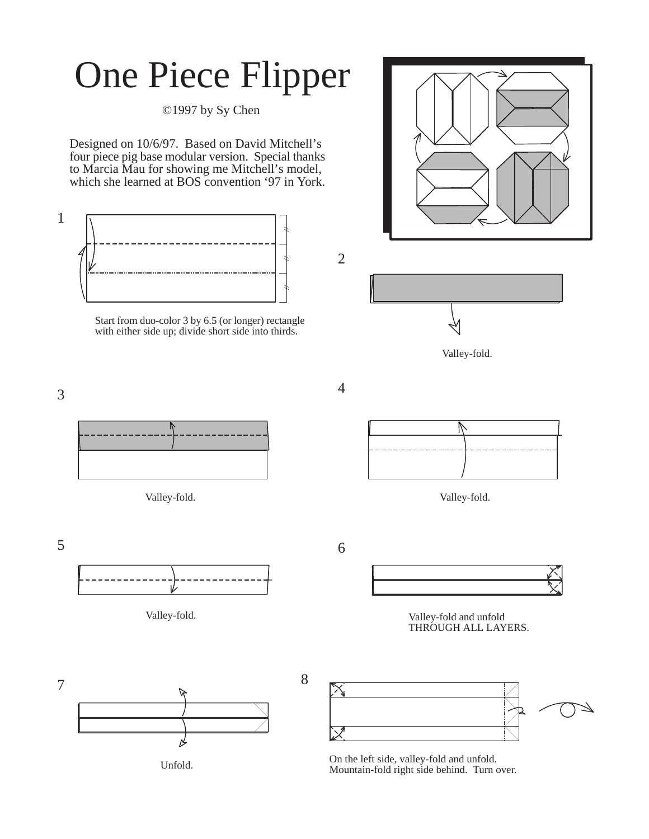## One Piece Flipper

©1997 by Sy Chen

Designed on 10/6/97. Based on David Mitchell's four piece pig base modular version. Special thanks to Marcia Mau for showing me Mitchell's model, which she learned at BOS convention '97 in York.



Start from duo-color 3 by 6.5 (or longer) rectangle with either side up; divide short side into thirds.



2

4



Valley-fold.







Valley-fold. Valley-fold and unfold THROUGH ALL LAYERS.



Unfold. On the left side, valley-fold and unfold. Mountain-fold right side behind. Turn over.



3

 $5\overline{6}$ 



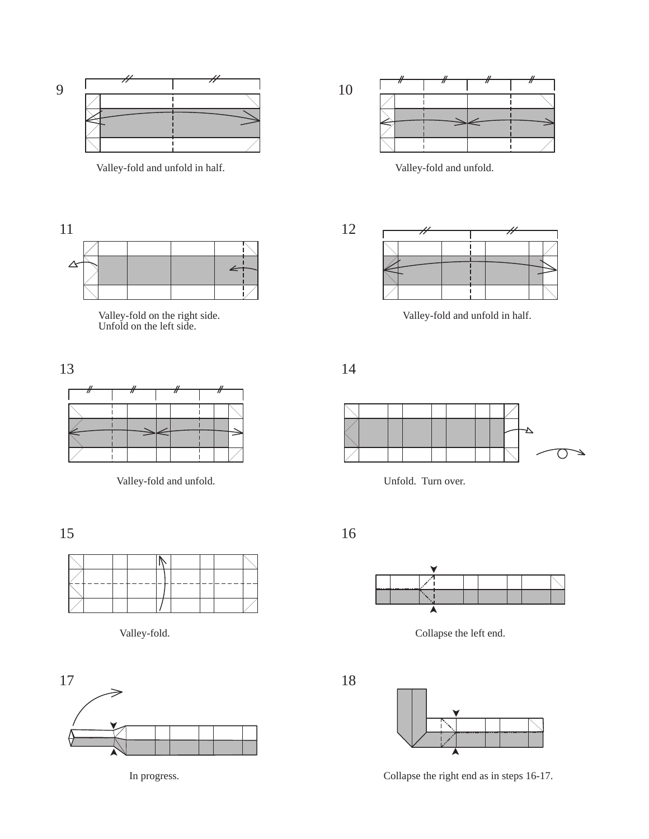

Valley-fold and unfold in half. Valley-fold and unfold.



Valley-fold and unfold in half.







Valley-fold. Collapse the left end.





In progress. Collapse the right end as in steps 16-17.



Valley-fold on the right side. Unfold on the left side.



Valley-fold and unfold. Unfold. Turn over.

15 16